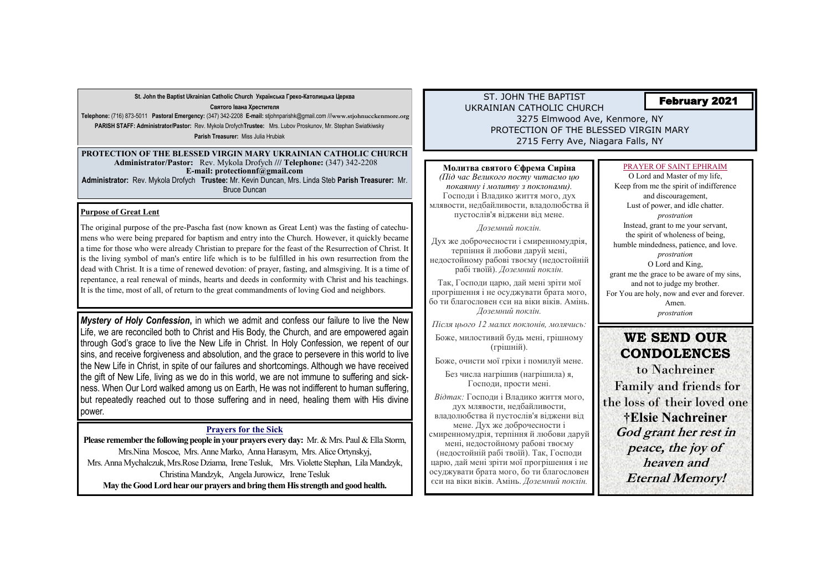## ST. JOHN THE BAPTIST UKRAINIAN CATHOLIC CHURCH 3275 Elmwood Ave, Kenmore, NY PROTECTION OF THE BLESSED VIRGIN MARY 2715 Ferry Ave, Niagara Falls, NY

**St. John the Baptist Ukrainian Catholic Church Українська Греко-Католицька Церква** 

**Святого Івана Хрестителя**

**Telephone:** (716) 873-5011 **Pastoral Emergency:** (347) 342-2208 **E-mail:** stjohnparishk@gmail.com ///**www.stjohnucckenmore.org PARISH STAFF: Administrator/Pastor:** Rev. Mykola Drofych**Trustee:** Mrs. Lubov Proskunov, Mr. Stephan Swiatkiwsky **Parish Treasurer:** Miss Julia Hrubiak

**Please remember the following people in your prayers every day:** Mr. & Mrs. Paul & Ella Storm, Mrs.Nina Moscoe, Mrs. Anne Marko, Anna Harasym, Mrs. Alice Ortynskyj, Mrs. Anna Mychalczuk, Mrs.Rose Dziama, Irene Tesluk, Mrs. Violette Stephan, Lila Mandzyk, Christina Mandzyk, Angela Jurowicz, Irene Tesluk **May the Good Lord hear our prayers and bring them His strength and good health.** 

#### **PROTECTION OF THE BLESSED VIRGIN MARY UKRAINIAN CATHOLIC CHURCH Administrator/Pastor:** Rev. Mykola Drofych **/// Telephone:** (347) 342-2208 **E-mail: protectionnf@gmail.com**

**Administrator:** Rev. Mykola Drofych **Trustee:** Mr. Kevin Duncan, Mrs. Linda Steb **Parish Treasurer:** Mr. Bruce Duncan

# February 2021

### **Prayers for the Sick**



### **Purpose of Great Lent**

The original purpose of the pre-Pascha fast (now known as Great Lent) was the fasting of catechumens who were being prepared for baptism and entry into the Church. However, it quickly became a time for those who were already Christian to prepare for the feast of the Resurrection of Christ. It is the living symbol of man's entire life which is to be fulfilled in his own resurrection from the dead with Christ. It is a time of renewed devotion: of prayer, fasting, and almsgiving. It is a time of repentance, a real renewal of minds, hearts and deeds in conformity with Christ and his teachings. It is the time, most of all, of return to the great commandments of loving God and neighbors.

## **Молитва святого Єфрема Сиріна**

*(Під час Великого посту читаємо цю покаянну і молитву з поклонами).* Господи і Владико життя мого, дух млявости, недбайливости, владолюбства й пустослів'я віджени від мене.

*Доземний поклін.*

Дух же доброчесности і смиренномудрія, терпіння й любови даруй мені, недостойному рабові твоєму (недостойній рабі твоїй). *Доземний поклін.*

Так, Господи царю, дай мені зріти мої прогрішення і не осуджувати брата мого, бо ти благословен єси на віки віків. Амінь. *Доземний поклін.*

*Після цього 12 малих поклонів, молячись:*

Боже, милостивий будь мені, грішному (грішній).

Боже, очисти мої гріхи і помилуй мене.

Без числа нагрішив (нагрішила) я, Господи, прости мені.

*Відтак:* Господи і Владико життя мого, дух млявости, недбайливости, владолюбства й пустослів'я віджени від мене. Дух же доброчесности і смиренномудрія, терпіння й любови даруй мені, недостойному рабові твоєму (недостойній рабі твоїй). Так, Господи царю, дай мені зріти мої прогрішення і не осуджувати брата мого, бо ти благословен єси на віки віків. Амінь. *Доземний поклін.*

#### PRAYER OF SAINT EPHRAIM

O Lord and Master of my life, and discouragement, Lust of power, and idle chatter. *prostration* Instead, grant to me your servant, the spirit of wholeness of being, *prostration* O Lord and King, and not to judge my brother. Amen. *prostration*

Keep from me the spirit of indifference humble mindedness, patience, and love. grant me the grace to be aware of my sins, For You are holy, now and ever and forever.

*Mystery of Holy Confession***,** in which we admit and confess our failure to live the New Life, we are reconciled both to Christ and His Body, the Church, and are empowered again through God's grace to live the New Life in Christ. In Holy Confession, we repent of our sins, and receive forgiveness and absolution, and the grace to persevere in this world to live the New Life in Christ, in spite of our failures and shortcomings. Although we have received the gift of New Life, living as we do in this world, we are not immune to suffering and sickness. When Our Lord walked among us on Earth, He was not indifferent to human suffering, but repeatedly reached out to those suffering and in need, healing them with His divine power.